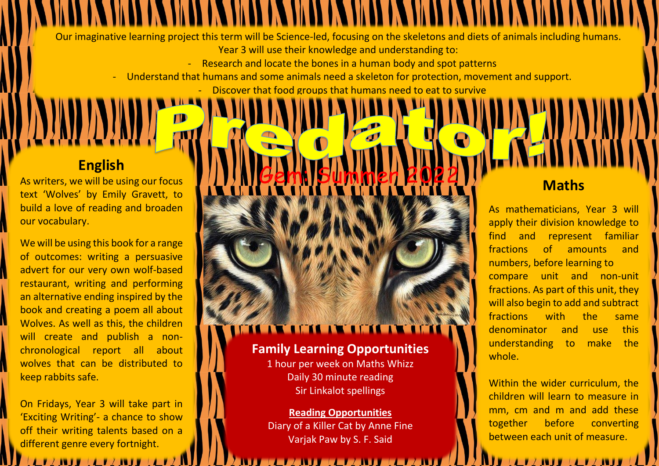Our imaginative learning project this term will be Science-led, focusing on the skeletons and diets of animals including humans. Year 3 will use their knowledge and understanding to:

- Research and locate the bones in a human body and spot patterns

- Understand that humans and some animals need a skeleton for protection, movement and support.

Gem: Summer 2022

## Discover that food groups that humans need to eat to survive

## **English**

**DIAD ADIA** 

As writers, we will be using our focus text 'Wolves' by Emily Gravett, to build a love of reading and broaden our vocabulary.

We will be using this book for a range of outcomes: writing a persuasive advert for our very own wolf-based restaurant, writing and performing an alternative ending inspired by the book and creating a poem all about Wolves. As well as this, the children will create and publish a nonchronological report all about wolves that can be distributed to keep rabbits safe.

On Fridays, Year 3 will take part in 'Exciting Writing'- a chance to show off their writing talents based on a different genre every fortnight.

# **THE AREA CHEAR THE ANGELES OF A SER**

## **Family Learning Opportunities**

1 hour per week on Maths Whizz Daily 30 minute reading Sir Linkalot spellings

### **Reading Opportunities** Diary of a Killer Cat by Anne Fine Varjak Paw by S. F. Said

## **Maths**

As mathematicians, Year 3 will apply their division knowledge to find and represent familiar fractions of amounts and numbers, before learning to compare unit and non-unit fractions. As part of this unit, they will also begin to add and subtract fractions with the same denominator and use this understanding to make the whole.

Within the wider curriculum, the children will learn to measure in mm, cm and m and add these together before converting between each unit of measure.